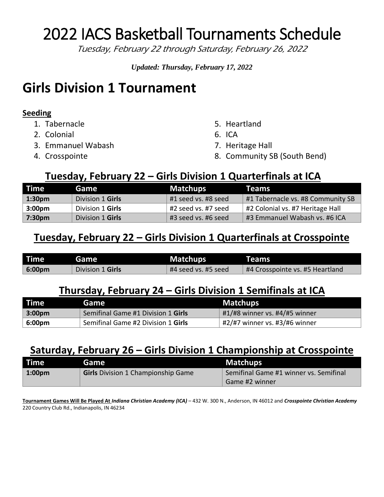# 2022 IACS Basketball Tournaments Schedule

Tuesday, February 22 through Saturday, February 26, 2022

*Updated: Thursday, February 17, 2022*

### **Girls Division 1 Tournament**

#### **Seeding**

- 1. Tabernacle
- 2. Colonial
- 3. Emmanuel Wabash
- 4. Crosspointe
- 5. Heartland
- 6. ICA
- 7. Heritage Hall
- 8. Community SB (South Bend)

#### **Tuesday, February 22 – Girls Division 1 Quarterfinals at ICA**

| <b>Time</b>        | Game             | Matchups            | Teams                             |
|--------------------|------------------|---------------------|-----------------------------------|
| $\vert$ 1:30pm     | Division 1 Girls | #1 seed vs. #8 seed | #1 Tabernacle vs. #8 Community SB |
| 3:00 <sub>pm</sub> | Division 1 Girls | #2 seed vs. #7 seed | #2 Colonial vs. #7 Heritage Hall  |
| 7:30pm             | Division 1 Girls | #3 seed vs. #6 seed | #3 Emmanuel Wabash vs. #6 ICA     |

#### **Tuesday, February 22 – Girls Division 1 Quarterfinals at Crosspointe**

| l Time             | <b>Game</b>             | Matchups <sup>1</sup> | <b>Teams</b>                    |
|--------------------|-------------------------|-----------------------|---------------------------------|
| 6:00 <sub>pm</sub> | <b>Division 1 Girls</b> | #4 seed vs. #5 seed   | #4 Crosspointe vs. #5 Heartland |

#### **Thursday, February 24 – Girls Division 1 Semifinals at ICA**

| <b>Time</b>        | Game                               | <b>Matchups</b>                       |
|--------------------|------------------------------------|---------------------------------------|
| 3:00 <sub>pm</sub> | Semifinal Game #1 Division 1 Girls | $\#1/\#8$ winner vs. $\#4/\#5$ winner |
| 6:00pm             | Semifinal Game #2 Division 1 Girls | #2/#7 winner vs. #3/#6 winner         |

### **Saturday, February 26 – Girls Division 1 Championship at Crosspointe**

| <b>Time</b>      | Game                                      | <b>Matchups</b>                        |
|------------------|-------------------------------------------|----------------------------------------|
| $1:00 \text{pm}$ | <b>Girls</b> Division 1 Championship Game | Semifinal Game #1 winner vs. Semifinal |
|                  |                                           | Game #2 winner                         |

**Tournament Games Will Be Played At** *Indiana Christian Academy (ICA)* – 432 W. 300 N., Anderson, IN 46012 and *Crosspointe Christian Academy* 220 Country Club Rd., Indianapolis, IN 46234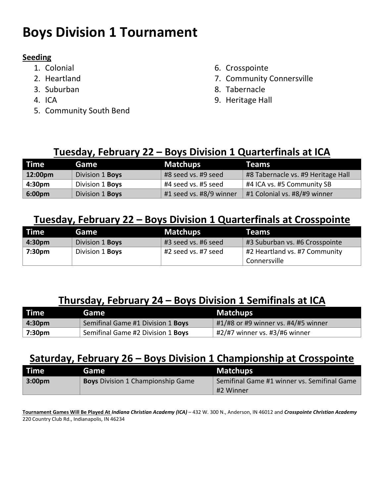# **Boys Division 1 Tournament**

#### **Seeding**

- 1. Colonial
- 2. Heartland
- 3. Suburban
- 4. ICA
- 5. Community South Bend
- 6. Crosspointe
- 7. Community Connersville
- 8. Tabernacle
- 9. Heritage Hall

#### **Tuesday, February 22 – Boys Division 1 Quarterfinals at ICA**

| Time <sup>1</sup>  | Game                   | Matchups                | <b>Teams</b>                       |
|--------------------|------------------------|-------------------------|------------------------------------|
| 12:00pm            | Division 1 <b>Boys</b> | #8 seed vs. #9 seed     | #8 Tabernacle vs. #9 Heritage Hall |
| 4:30 <sub>pm</sub> | Division 1 <b>Boys</b> | #4 seed vs. #5 seed     | #4 ICA vs. #5 Community SB         |
| 6:00 <sub>pm</sub> | Division 1 Boys        | #1 seed vs. #8/9 winner | #1 Colonial vs. #8/#9 winner       |

#### **Tuesday, February 22 – Boys Division 1 Quarterfinals at Crosspointe**

| Time <sup>1</sup>  | Game                   | <b>Matchups</b>     | <b>Teams</b>                   |
|--------------------|------------------------|---------------------|--------------------------------|
| 4:30 <sub>pm</sub> | Division 1 Boys        | #3 seed vs. #6 seed | #3 Suburban vs. #6 Crosspointe |
| 7:30pm             | Division 1 <b>Boys</b> | #2 seed vs. #7 seed | #2 Heartland vs. #7 Community  |
|                    |                        |                     | Connersville                   |

#### **Thursday, February 24 – Boys Division 1 Semifinals at ICA**

| <b>Time</b> | Game                              | <b>Matchups</b>                     |
|-------------|-----------------------------------|-------------------------------------|
| $ 4:30$ pm  | Semifinal Game #1 Division 1 Boys | #1/#8 or #9 winner vs. #4/#5 winner |
| 7:30pm      | Semifinal Game #2 Division 1 Boys | #2/#7 winner vs. #3/#6 winner       |

#### **Saturday, February 26 – Boys Division 1 Championship at Crosspointe**

| l Time l   | Game                                     | <b>Matchups</b>                             |
|------------|------------------------------------------|---------------------------------------------|
| $ 3:00$ pm | <b>Boys</b> Division 1 Championship Game | Semifinal Game #1 winner vs. Semifinal Game |
|            |                                          | #2 Winner                                   |

**Tournament Games Will Be Played At** *Indiana Christian Academy (ICA)* – 432 W. 300 N., Anderson, IN 46012 and *Crosspointe Christian Academy* 220 Country Club Rd., Indianapolis, IN 46234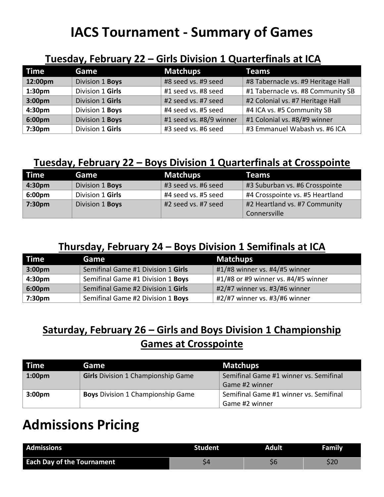## **IACS Tournament - Summary of Games**

#### **Tuesday, February 22 – Girls Division 1 Quarterfinals at ICA**

| <b>Time</b>        | Game             | <b>Matchups</b>         | <b>Teams</b>                       |
|--------------------|------------------|-------------------------|------------------------------------|
| 12:00pm            | Division 1 Boys  | #8 seed vs. #9 seed     | #8 Tabernacle vs. #9 Heritage Hall |
| 1:30 <sub>pm</sub> | Division 1 Girls | #1 seed vs. #8 seed     | #1 Tabernacle vs. #8 Community SB  |
| 3:00pm             | Division 1 Girls | #2 seed vs. #7 seed     | #2 Colonial vs. #7 Heritage Hall   |
| 4:30pm             | Division 1 Boys  | #4 seed vs. #5 seed     | #4 ICA vs. #5 Community SB         |
| 6:00pm             | Division 1 Boys  | #1 seed vs. #8/9 winner | #1 Colonial vs. #8/#9 winner       |
| 7:30pm             | Division 1 Girls | #3 seed vs. #6 seed     | #3 Emmanuel Wabash vs. #6 ICA      |

#### **Tuesday, February 22 – Boys Division 1 Quarterfinals at Crosspointe**

| l Time             | Game             | <b>Matchups</b>     | <b>Teams</b>                    |
|--------------------|------------------|---------------------|---------------------------------|
| 4:30 <sub>pm</sub> | Division 1 Boys  | #3 seed vs. #6 seed | #3 Suburban vs. #6 Crosspointe  |
| 6:00pm             | Division 1 Girls | #4 seed vs. #5 seed | #4 Crosspointe vs. #5 Heartland |
| 7:30pm             | Division 1 Boys  | #2 seed vs. #7 seed | #2 Heartland vs. #7 Community   |
|                    |                  |                     | Connersville                    |

#### **Thursday, February 24 – Boys Division 1 Semifinals at ICA**

| <b>Time</b>        | Game                               | <b>Matchups</b>                     |
|--------------------|------------------------------------|-------------------------------------|
| 3:00 <sub>pm</sub> | Semifinal Game #1 Division 1 Girls | #1/#8 winner vs. #4/#5 winner       |
| 4:30pm             | Semifinal Game #1 Division 1 Boys  | #1/#8 or #9 winner vs. #4/#5 winner |
| 6:00 <sub>pm</sub> | Semifinal Game #2 Division 1 Girls | #2/#7 winner vs. #3/#6 winner       |
| 7:30 <sub>pm</sub> | Semifinal Game #2 Division 1 Boys  | #2/#7 winner vs. #3/#6 winner       |

### **Saturday, February 26 – Girls and Boys Division 1 Championship Games at Crosspointe**

| <b>Time</b>        | Game                                      | <b>Matchups</b>                        |
|--------------------|-------------------------------------------|----------------------------------------|
| 1:00 <sub>pm</sub> | <b>Girls</b> Division 1 Championship Game | Semifinal Game #1 winner vs. Semifinal |
|                    |                                           | Game #2 winner                         |
| 3:00 <sub>pm</sub> | <b>Boys</b> Division 1 Championship Game  | Semifinal Game #1 winner vs. Semifinal |
|                    |                                           | Game #2 winner                         |

# **Admissions Pricing**

| <b>Admissions</b>                 | Student | Adult | <b>Family</b> |
|-----------------------------------|---------|-------|---------------|
| <b>Each Day of the Tournament</b> |         |       |               |